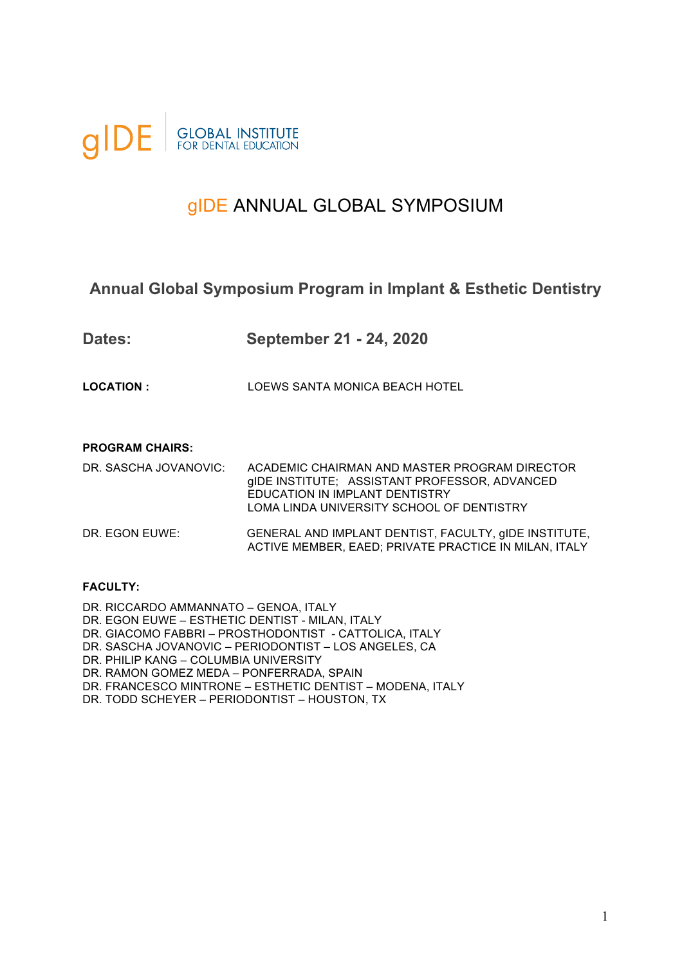

# gIDE ANNUAL GLOBAL SYMPOSIUM

#### **Annual Global Symposium Program in Implant & Esthetic Dentistry**

| <b>Dates:</b>     | September 21 - 24, 2020        |
|-------------------|--------------------------------|
| <b>LOCATION :</b> | LOEWS SANTA MONICA BEACH HOTEL |

#### **PROGRAM CHAIRS:**

| DR. SASCHA JOVANOVIC: | ACADEMIC CHAIRMAN AND MASTER PROGRAM DIRECTOR<br>gIDE INSTITUTE; ASSISTANT PROFESSOR, ADVANCED<br>EDUCATION IN IMPLANT DENTISTRY<br>LOMA LINDA UNIVERSITY SCHOOL OF DENTISTRY |
|-----------------------|-------------------------------------------------------------------------------------------------------------------------------------------------------------------------------|
| DR. EGON EUWE:        | GENERAL AND IMPLANT DENTIST, FACULTY, GIDE INSTITUTE,<br>ACTIVE MEMBER, EAED; PRIVATE PRACTICE IN MILAN, ITALY                                                                |

#### **FACULTY:**

DR. RICCARDO AMMANNATO – GENOA, ITALY DR. EGON EUWE – ESTHETIC DENTIST - MILAN, ITALY DR. GIACOMO FABBRI – PROSTHODONTIST - CATTOLICA, ITALY DR. SASCHA JOVANOVIC – PERIODONTIST – LOS ANGELES, CA DR. PHILIP KANG – COLUMBIA UNIVERSITY DR. RAMON GOMEZ MEDA – PONFERRADA, SPAIN DR. FRANCESCO MINTRONE – ESTHETIC DENTIST – MODENA, ITALY DR. TODD SCHEYER – PERIODONTIST – HOUSTON, TX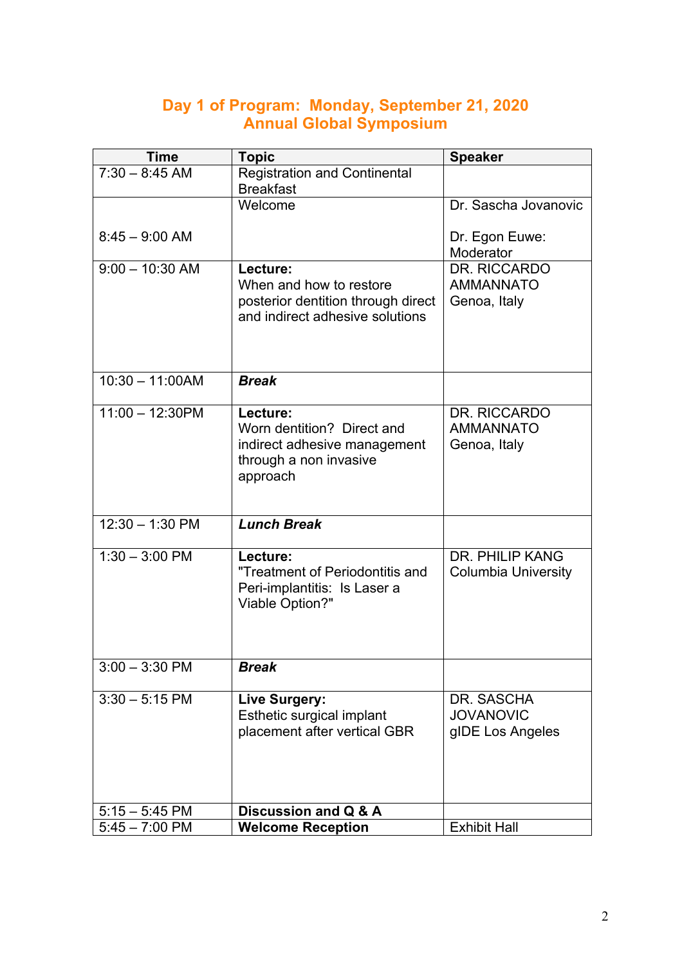#### **Day 1 of Program: Monday, September 21, 2020 Annual Global Symposium**

| <b>Time</b>       | <b>Topic</b>                                                                                                 | <b>Speaker</b>                                       |
|-------------------|--------------------------------------------------------------------------------------------------------------|------------------------------------------------------|
| $7:30 - 8:45$ AM  | <b>Registration and Continental</b><br><b>Breakfast</b>                                                      |                                                      |
|                   | Welcome                                                                                                      | Dr. Sascha Jovanovic                                 |
| $8:45 - 9:00$ AM  |                                                                                                              | Dr. Egon Euwe:<br>Moderator                          |
| $9:00 - 10:30$ AM | Lecture:<br>When and how to restore<br>posterior dentition through direct<br>and indirect adhesive solutions | DR. RICCARDO<br><b>AMMANNATO</b><br>Genoa, Italy     |
| $10:30 - 11:00AM$ | <b>Break</b>                                                                                                 |                                                      |
| $11:00 - 12:30PM$ | Lecture:<br>Worn dentition? Direct and<br>indirect adhesive management<br>through a non invasive<br>approach | DR. RICCARDO<br><b>AMMANNATO</b><br>Genoa, Italy     |
| $12:30 - 1:30$ PM | <b>Lunch Break</b>                                                                                           |                                                      |
| $1:30 - 3:00$ PM  | Lecture:<br>"Treatment of Periodontitis and<br>Peri-implantitis: Is Laser a<br>Viable Option?"               | <b>DR. PHILIP KANG</b><br><b>Columbia University</b> |
| $3:00 - 3:30$ PM  | <b>Break</b>                                                                                                 |                                                      |
| $3:30 - 5:15$ PM  | Live Surgery:<br>Esthetic surgical implant<br>placement after vertical GBR                                   | DR. SASCHA<br><b>JOVANOVIC</b><br>gIDE Los Angeles   |
| $5:15 - 5:45$ PM  | Discussion and Q & A                                                                                         |                                                      |
| $5:45 - 7:00$ PM  | <b>Welcome Reception</b>                                                                                     | <b>Exhibit Hall</b>                                  |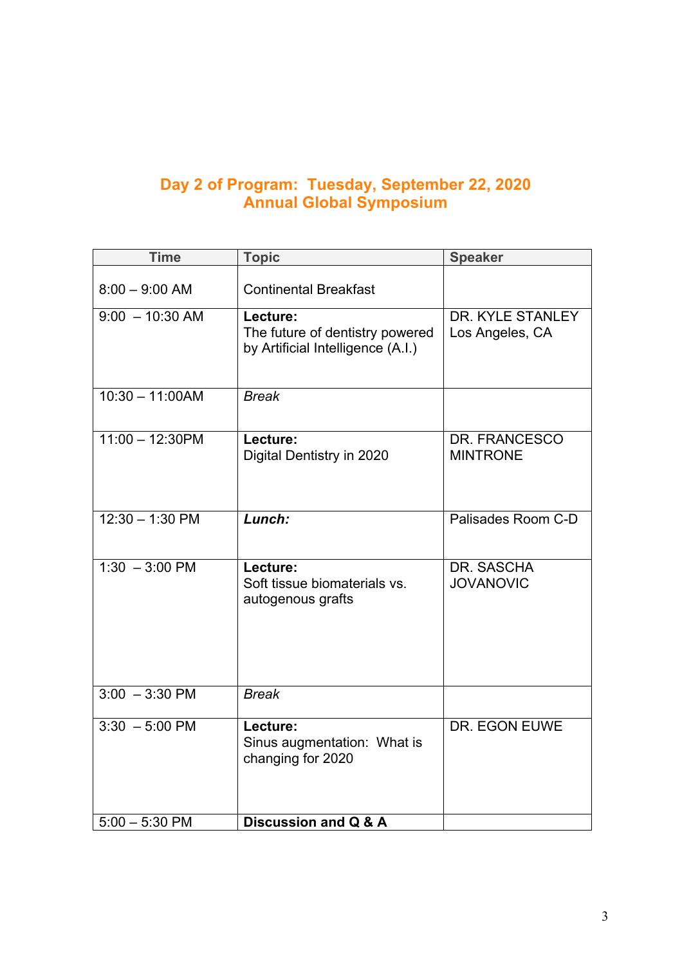#### **Day 2 of Program: Tuesday, September 22, 2020 Annual Global Symposium**

| <b>Time</b>              | <b>Topic</b>                                                                     | <b>Speaker</b>                      |
|--------------------------|----------------------------------------------------------------------------------|-------------------------------------|
| $8:00 - 9:00$ AM         | <b>Continental Breakfast</b>                                                     |                                     |
| $9:00 - 10:30$ AM        | Lecture:<br>The future of dentistry powered<br>by Artificial Intelligence (A.I.) | DR. KYLE STANLEY<br>Los Angeles, CA |
| $10:30 - 11:00AM$        | $B$ rea $\overline{k}$                                                           |                                     |
| $11:00 - 12:30PM$        | Lecture:<br>Digital Dentistry in 2020                                            | DR. FRANCESCO<br><b>MINTRONE</b>    |
| $12:30 - 1:30$ PM        | Lunch:                                                                           | Palisades Room C-D                  |
| $1:30 - 3:00 \text{ PM}$ | Lecture:<br>Soft tissue biomaterials vs.<br>autogenous grafts                    | DR. SASCHA<br><b>JOVANOVIC</b>      |
| $3:00 - 3:30$ PM         | <b>Break</b>                                                                     |                                     |
| $3:30 - 5:00$ PM         | Lecture:<br>Sinus augmentation: What is<br>changing for 2020                     | DR. EGON EUWE                       |
| $5:00 - 5:30$ PM         | Discussion and Q & A                                                             |                                     |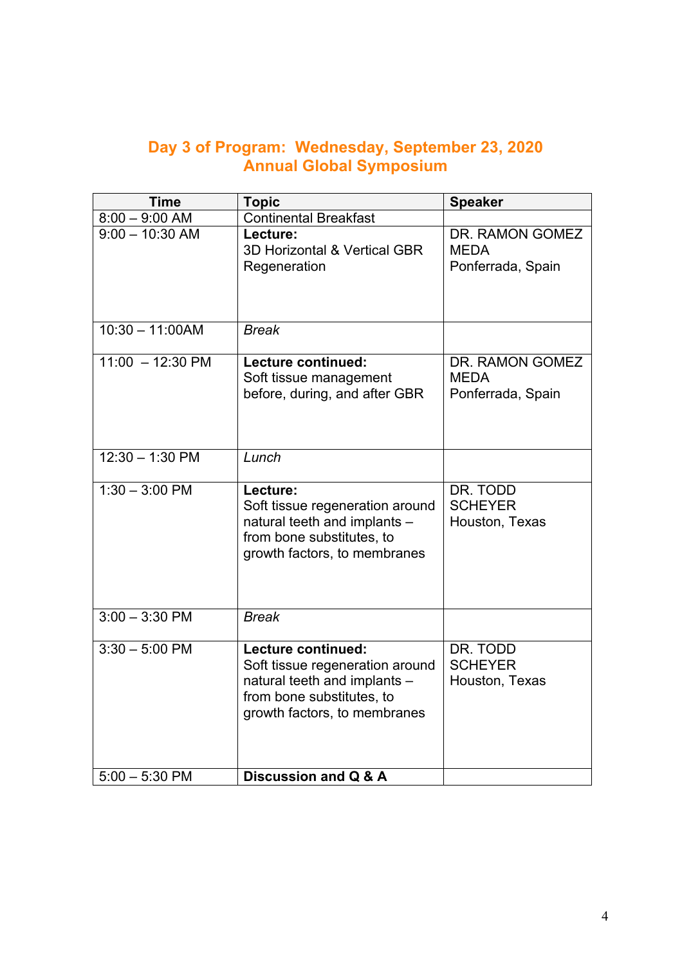#### **Day 3 of Program: Wednesday, September 23, 2020 Annual Global Symposium**

| <b>Time</b>                | <b>Topic</b>                                                                                                                                       | <b>Speaker</b>                                      |
|----------------------------|----------------------------------------------------------------------------------------------------------------------------------------------------|-----------------------------------------------------|
| $8:00 - 9:00$ AM           | <b>Continental Breakfast</b>                                                                                                                       |                                                     |
| $9:00 - 10:30$ AM          | Lecture:<br>3D Horizontal & Vertical GBR<br>Regeneration                                                                                           | DR. RAMON GOMEZ<br><b>MEDA</b><br>Ponferrada, Spain |
| $10:30 - 11:00AM$          | <b>Break</b>                                                                                                                                       |                                                     |
| $11:00 - 12:30 \text{ PM}$ | Lecture continued:<br>Soft tissue management<br>before, during, and after GBR                                                                      | DR. RAMON GOMEZ<br><b>MEDA</b><br>Ponferrada, Spain |
| $12:30 - 1:30$ PM          | Lunch                                                                                                                                              |                                                     |
| $1:30 - 3:00$ PM           | Lecture:<br>Soft tissue regeneration around<br>natural teeth and implants -<br>from bone substitutes, to<br>growth factors, to membranes           | DR. TODD<br><b>SCHEYER</b><br>Houston, Texas        |
| $3:00 - 3:30$ PM           | <b>Break</b>                                                                                                                                       |                                                     |
| $3:30 - 5:00$ PM           | Lecture continued:<br>Soft tissue regeneration around<br>natural teeth and implants -<br>from bone substitutes, to<br>growth factors, to membranes | DR. TODD<br><b>SCHEYER</b><br>Houston, Texas        |
| $5:00 - 5:30$ PM           | Discussion and Q & A                                                                                                                               |                                                     |